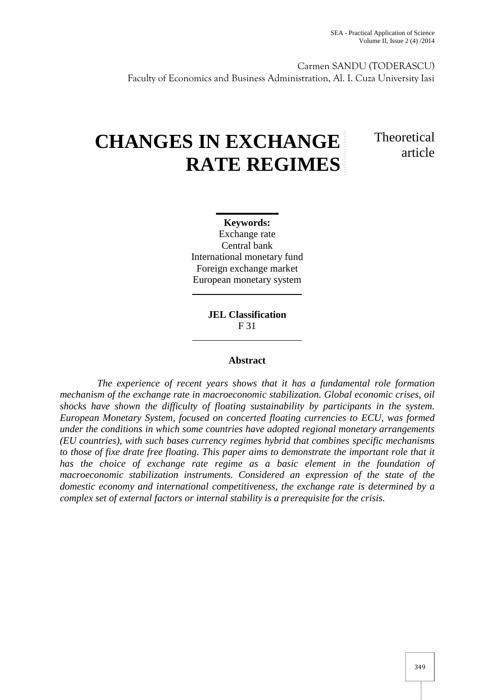Carmen SANDU (TODERASCU) Faculty of Economics and Business Administration, Al. I. Cuza University Iasi

# **CHANGES IN EXCHANGE RATE REGIMES**

# **Theoretical** article

**Keywords:** Exchange rate Central bank International monetary fund Foreign exchange market European monetary system

> **JEL Classification** F 31

### **Abstract**

*The experience of recent years shows that it has a fundamental role formation mechanism of the exchange rate in macroeconomic stabilization. Global economic crises, oil shocks have shown the difficulty of floating sustainability by participants in the system. European Monetary System, focused on concerted floating currencies to ECU, was formed under the conditions in which some countries have adopted regional monetary arrangements (EU countries), with such bases currency regimes hybrid that combines specific mechanisms to those of fixe drate free floating. This paper aims to demonstrate the important role that it has the choice of exchange rate regime as a basic element in the foundation of macroeconomic stabilization instruments. Considered an expression of the state of the domestic economy and international competitiveness, the exchange rate is determined by a complex set of external factors or internal stability is a prerequisite for the crisis.*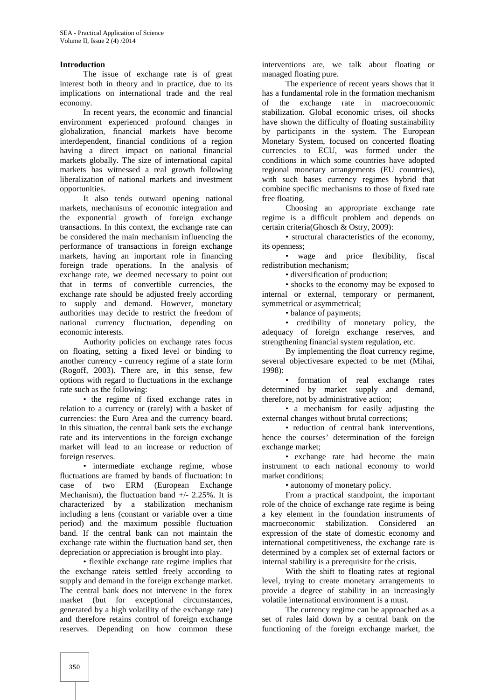#### **Introduction**

The issue of exchange rate is of great interest both in theory and in practice, due to its implications on international trade and the real economy.

In recent years, the economic and financial environment experienced profound changes in globalization, financial markets have become interdependent, financial conditions of a region having a direct impact on national financial markets globally. The size of international capital markets has witnessed a real growth following liberalization of national markets and investment opportunities.

It also tends outward opening national markets, mechanisms of economic integration and the exponential growth of foreign exchange transactions. In this context, the exchange rate can be considered the main mechanism influencing the performance of transactions in foreign exchange markets, having an important role in financing foreign trade operations. In the analysis of exchange rate, we deemed necessary to point out that in terms of convertible currencies, the exchange rate should be adjusted freely according to supply and demand. However, monetary authorities may decide to restrict the freedom of national currency fluctuation, depending on economic interests.

Authority policies on exchange rates focus on floating, setting a fixed level or binding to another currency - currency regime of a state form (Rogoff, 2003). There are, in this sense, few options with regard to fluctuations in the exchange rate such as the following:

• the regime of fixed exchange rates in relation to a currency or (rarely) with a basket of currencies: the Euro Area and the currency board. In this situation, the central bank sets the exchange rate and its interventions in the foreign exchange market will lead to an increase or reduction of foreign reserves.

• intermediate exchange regime, whose fluctuations are framed by bands of fluctuation: In case of two ERM (European Exchange Mechanism), the fluctuation band  $+/- 2.25\%$ . It is characterized by a stabilization mechanism including a lens (constant or variable over a time period) and the maximum possible fluctuation band. If the central bank can not maintain the exchange rate within the fluctuation band set, then depreciation or appreciation is brought into play.

• flexible exchange rate regime implies that the exchange rateis settled freely according to supply and demand in the foreign exchange market. The central bank does not intervene in the forex market (but for exceptional circumstances, generated by a high volatility of the exchange rate) and therefore retains control of foreign exchange reserves. Depending on how common these

interventions are, we talk about floating or managed floating pure.

The experience of recent years shows that it has a fundamental role in the formation mechanism of the exchange rate in macroeconomic stabilization. Global economic crises, oil shocks have shown the difficulty of floating sustainability by participants in the system. The European Monetary System, focused on concerted floating currencies to ECU, was formed under the conditions in which some countries have adopted regional monetary arrangements (EU countries), with such bases currency regimes hybrid that combine specific mechanisms to those of fixed rate free floating.

Choosing an appropriate exchange rate regime is a difficult problem and depends on certain criteria(Ghosch & Ostry, 2009):

• structural characteristics of the economy, its openness;

• wage and price flexibility, fiscal redistribution mechanism;

• diversification of production;

• shocks to the economy may be exposed to internal or external, temporary or permanent, symmetrical or asymmetrical;

• balance of payments;

• credibility of monetary policy, the adequacy of foreign exchange reserves, and strengthening financial system regulation, etc.

By implementing the float currency regime, several objectivesare expected to be met (Mihai, 1998):

• formation of real exchange rates determined by market supply and demand, therefore, not by administrative action;

• a mechanism for easily adjusting the external changes without brutal corrections;

• reduction of central bank interventions, hence the courses' determination of the foreign exchange market;

• exchange rate had become the main instrument to each national economy to world market conditions;

• autonomy of monetary policy.

From a practical standpoint, the important role of the choice of exchange rate regime is being a key element in the foundation instruments of macroeconomic stabilization. Considered an expression of the state of domestic economy and international competitiveness, the exchange rate is determined by a complex set of external factors or internal stability is a prerequisite for the crisis.

With the shift to floating rates at regional level, trying to create monetary arrangements to provide a degree of stability in an increasingly volatile international environment is a must.

The currency regime can be approached as a set of rules laid down by a central bank on the functioning of the foreign exchange market, the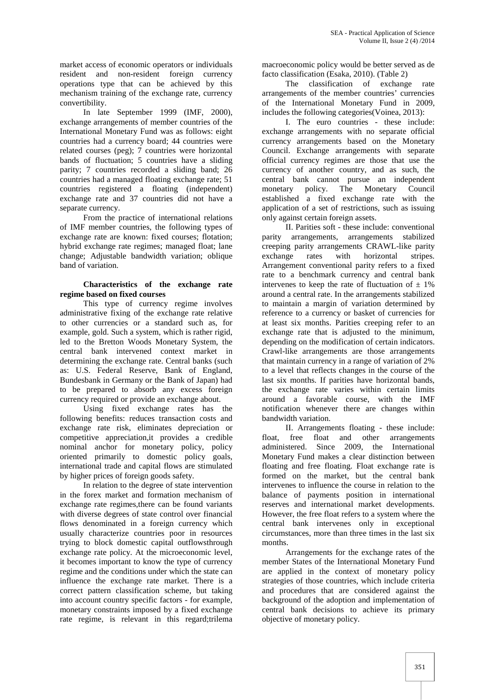market access of economic operators or individuals resident and non-resident foreign currency operations type that can be achieved by this mechanism training of the exchange rate, currency convertibility.

In late September 1999 (IMF, 2000), exchange arrangements of member countries of the International Monetary Fund was as follows: eight countries had a currency board; 44 countries were related courses (peg); 7 countries were horizontal bands of fluctuation; 5 countries have a sliding parity; 7 countries recorded a sliding band; 26 countries had a managed floating exchange rate; 51 countries registered a floating (independent) exchange rate and 37 countries did not have a separate currency.

From the practice of international relations of IMF member countries, the following types of exchange rate are known: fixed courses; flotation; hybrid exchange rate regimes; managed float; lane change; Adjustable bandwidth variation; oblique band of variation.

#### **Characteristics of the exchange rate regime based on fixed courses**

This type of currency regime involves administrative fixing of the exchange rate relative to other currencies or a standard such as, for example, gold. Such a system, which is rather rigid, led to the Bretton Woods Monetary System, the central bank intervened context market in determining the exchange rate. Central banks (such as: U.S. Federal Reserve, Bank of England, Bundesbank in Germany or the Bank of Japan) had to be prepared to absorb any excess foreign currency required or provide an exchange about.

Using fixed exchange rates has the following benefits: reduces transaction costs and exchange rate risk, eliminates depreciation or competitive appreciation,it provides a credible nominal anchor for monetary policy, policy oriented primarily to domestic policy goals, international trade and capital flows are stimulated by higher prices of foreign goods safety.

In relation to the degree of state intervention in the forex market and formation mechanism of exchange rate regimes,there can be found variants with diverse degrees of state control over financial flows denominated in a foreign currency which usually characterize countries poor in resources trying to block domestic capital outflowsthrough exchange rate policy. At the microeconomic level, it becomes important to know the type of currency regime and the conditions under which the state can influence the exchange rate market. There is a correct pattern classification scheme, but taking into account country specific factors - for example, monetary constraints imposed by a fixed exchange rate regime, is relevant in this regard;trilema

macroeconomic policy would be better served as de facto classification (Esaka, 2010). (Table 2)

The classification of exchange rate arrangements of the member countries' currencies of the International Monetary Fund in 2009, includes the following categories(Voinea, 2013):

I. The euro countries - these include: exchange arrangements with no separate official currency arrangements based on the Monetary Council. Exchange arrangements with separate official currency regimes are those that use the currency of another country, and as such, the central bank cannot pursue an independent monetary policy. The Monetary Council established a fixed exchange rate with the application of a set of restrictions, such as issuing only against certain foreign assets.

II. Parities soft - these include: conventional parity arrangements, arrangements stabilized creeping parity arrangements CRAWL-like parity exchange rates with horizontal stripes. Arrangement conventional parity refers to a fixed rate to a benchmark currency and central bank intervenes to keep the rate of fluctuation of  $\pm$  1% around a central rate. In the arrangements stabilized to maintain a margin of variation determined by reference to a currency or basket of currencies for at least six months. Parities creeping refer to an exchange rate that is adjusted to the minimum, depending on the modification of certain indicators. Crawl-like arrangements are those arrangements that maintain currency in a range of variation of 2% to a level that reflects changes in the course of the last six months. If parities have horizontal bands, the exchange rate varies within certain limits around a favorable course, with the IMF notification whenever there are changes within bandwidth variation.

II. Arrangements floating - these include: float, free float and other arrangements administered. Since 2009, the International Monetary Fund makes a clear distinction between floating and free floating. Float exchange rate is formed on the market, but the central bank intervenes to influence the course in relation to the balance of payments position in international reserves and international market developments. However, the free float refers to a system where the central bank intervenes only in exceptional circumstances, more than three times in the last six months.

Arrangements for the exchange rates of the member States of the International Monetary Fund are applied in the context of monetary policy strategies of those countries, which include criteria and procedures that are considered against the background of the adoption and implementation of central bank decisions to achieve its primary objective of monetary policy.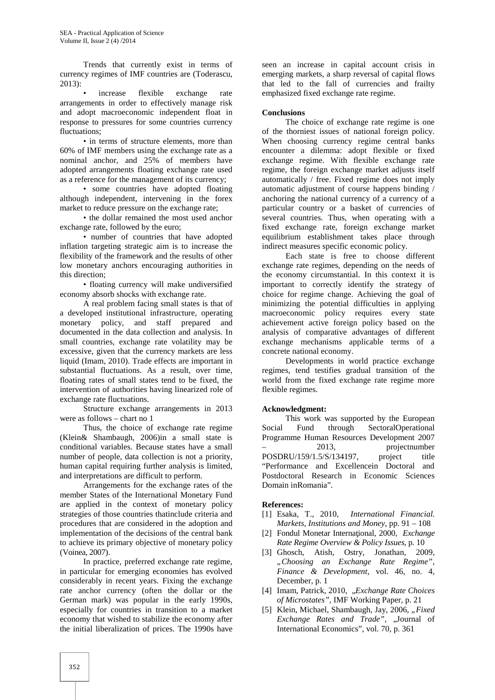Trends that currently exist in terms of currency regimes of IMF countries are (Toderascu, 2013):

increase flexible exchange rate arrangements in order to effectively manage risk and adopt macroeconomic independent float in response to pressures for some countries currency fluctuations:

• in terms of structure elements, more than 60% of IMF members using the exchange rate as a nominal anchor, and 25% of members have adopted arrangements floating exchange rate used as a reference for the management of its currency;

• some countries have adopted floating although independent, intervening in the forex market to reduce pressure on the exchange rate;

• the dollar remained the most used anchor exchange rate, followed by the euro;

• number of countries that have adopted inflation targeting strategic aim is to increase the flexibility of the framework and the results of other low monetary anchors encouraging authorities in this direction;

• floating currency will make undiversified economy absorb shocks with exchange rate.

A real problem facing small states is that of a developed institutional infrastructure, operating monetary policy, and staff prepared and documented in the data collection and analysis. In small countries, exchange rate volatility may be excessive, given that the currency markets are less liquid (Imam, 2010). Trade effects are important in substantial fluctuations. As a result, over time, floating rates of small states tend to be fixed, the intervention of authorities having linearized role of exchange rate fluctuations.

Structure exchange arrangements in 2013 were as follows – chart no 1

Thus, the choice of exchange rate regime (Klein& Shambaugh, 2006)in a small state is conditional variables. Because states have a small number of people, data collection is not a priority, human capital requiring further analysis is limited, and interpretations are difficult to perform.

Arrangements for the exchange rates of the member States of the International Monetary Fund are applied in the context of monetary policy strategies of those countries thatinclude criteria and [1] Esaka, T., 2010, procedures that are considered in the adoption and implementation of the decisions of the central bank to achieve its primary objective of monetary policy (Voinea, 2007).

In practice, preferred exchange rate regime, in particular for emerging economies has evolved considerably in recent years. Fixing the exchange rate anchor currency (often the dollar or the German mark) was popular in the early 1990s, especially for countries in transition to a market economy that wished to stabilize the economy after the initial liberalization of prices. The 1990s have

seen an increase in capital account crisis in emerging markets, a sharp reversal of capital flows that led to the fall of currencies and frailty emphasized fixed exchange rate regime.

#### **Conclusions**

The choice of exchange rate regime is one of the thorniest issues of national foreign policy. When choosing currency regime central banks encounter a dilemma: adopt flexible or fixed exchange regime. With flexible exchange rate regime, the foreign exchange market adjusts itself automatically / free. Fixed regime does not imply automatic adjustment of course happens binding / anchoring the national currency of a currency of a particular country or a basket of currencies of several countries. Thus, when operating with a fixed exchange rate, foreign exchange market equilibrium establishment takes place through indirect measures specific economic policy.

Each state is free to choose different exchange rate regimes, depending on the needs of the economy circumstantial. In this context it is important to correctly identify the strategy of choice for regime change. Achieving the goal of minimizing the potential difficulties in applying macroeconomic policy requires every state achievement active foreign policy based on the analysis of comparative advantages of different exchange mechanisms applicable terms of a concrete national economy.

Developments in world practice exchange regimes, tend testifies gradual transition of the world from the fixed exchange rate regime more flexible regimes.

#### **Acknowledgment:**

This work was supported by the European Social Fund through SectoralOperational Programme Human Resources Development 2007 – 2013, projectnumber POSDRU/159/1.5/S/134197, project title "Performance and Excellencein Doctoral and Postdoctoral Research in Economic Sciences Domain inRomania".

#### **References:**

- [1] Esaka, T., 2010, *International Financial. Markets, Institutions and Money*, pp. 91 – 108
- [2] Fondul Monetar Interna ional, 2000, *Exchange Rate Regime Overview & Policy Issues*, p*.* 10
- [3] Ghosch, Atish, Ostry, Jonathan, 2009, *"Choosing an Exchange Rate Regime"*, *Finance & Development,* vol. 46, no. 4, December, p. 1
- [4] Imam, Patrick, 2010, "*Exchange Rate Choices of Microstates",* IMF Working Paper, p. 21
- [5] Klein, Michael, Shambaugh, Jay, 2006, "Fixed *Exchange Rates and Trade"*, "Journal of International Economics", vol. 70, p. 361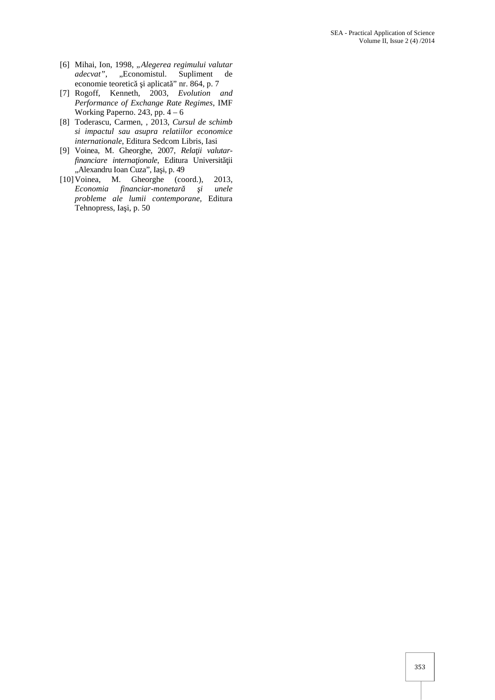- [6] Mihai, Ion, 1998, *"Alegerea regimului valutar adecvat"*, "Economistul. Supliment de economie teoretică i aplicat " nr. 864, p. 7
- [7] Rogoff, Kenneth, 2003, *Evolution and Performance of Exchange Rate Regimes*, IMF Working Paperno. 243, pp.  $4 - 6$
- [8] Toderascu, Carmen, , 2013, *Cursul de schimb si impactul sau asupra relatiilor economice internationale*, Editura Sedcom Libris, Iasi
- [9] Voinea, M. Gheorghe, 2007, *Rela ii valutarfinanciare interna ionale*, Editura Universit ii "Alexandru Ioan Cuza", Ia i, p. 49
- [10]Voinea, M. Gheorghe (coord.), 2013, *Economia financiar-monetar i unele probleme ale lumii contemporane,* Editura Tehnopress, Ia i, p. 50